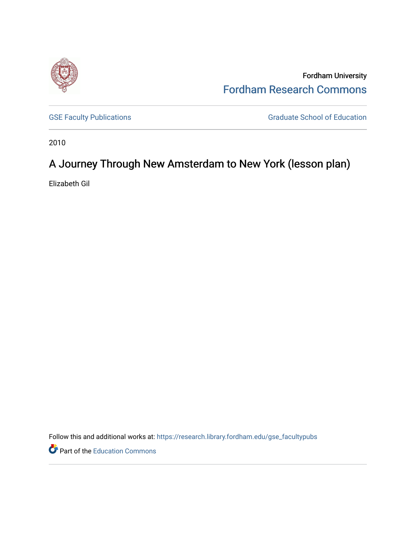

Fordham University [Fordham Research Commons](https://research.library.fordham.edu/) 

[GSE Faculty Publications](https://research.library.fordham.edu/gse_facultypubs) **GRADUATE SCHOOL CONSUMING SCHOOL CONSUMING SCHOOL** GRADUATE SCHOOL OF Education

2010

# A Journey Through New Amsterdam to New York (lesson plan)

Elizabeth Gil

Follow this and additional works at: [https://research.library.fordham.edu/gse\\_facultypubs](https://research.library.fordham.edu/gse_facultypubs?utm_source=research.library.fordham.edu%2Fgse_facultypubs%2F5&utm_medium=PDF&utm_campaign=PDFCoverPages)

**P** Part of the [Education Commons](http://network.bepress.com/hgg/discipline/784?utm_source=research.library.fordham.edu%2Fgse_facultypubs%2F5&utm_medium=PDF&utm_campaign=PDFCoverPages)